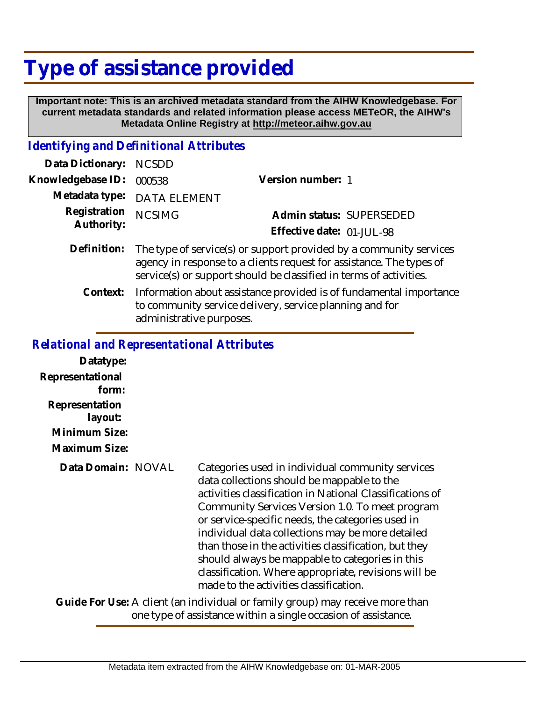## **Type of assistance provided**

 **Important note: This is an archived metadata standard from the AIHW Knowledgebase. For current metadata standards and related information please access METeOR, the AIHW's Metadata Online Registry at http://meteor.aihw.gov.au**

## *Identifying and Definitional Attributes*

| Data Dictionary: NCSDD     |                                                                                                                                                                                                                  |                           |
|----------------------------|------------------------------------------------------------------------------------------------------------------------------------------------------------------------------------------------------------------|---------------------------|
| Knowledgebase ID:          | 000538                                                                                                                                                                                                           | Version number: 1         |
| Metadata type:             | <b>DATA ELEMENT</b>                                                                                                                                                                                              |                           |
| Registration<br>Authority: | <b>NCSIMG</b>                                                                                                                                                                                                    | Admin status: SUPERSEDED  |
|                            |                                                                                                                                                                                                                  | Effective date: 01-JUL-98 |
| Definition:                | The type of service(s) or support provided by a community services<br>agency in response to a clients request for assistance. The types of<br>service(s) or support should be classified in terms of activities. |                           |

Information about assistance provided is of fundamental importance to community service delivery, service planning and for administrative purposes. **Context:**

## *Relational and Representational Attributes*

| Datatype:                                                                                                                                       |  |                                                                                                                                                                                                                                                                                                                                                                                                                                                                                                                                      |  |
|-------------------------------------------------------------------------------------------------------------------------------------------------|--|--------------------------------------------------------------------------------------------------------------------------------------------------------------------------------------------------------------------------------------------------------------------------------------------------------------------------------------------------------------------------------------------------------------------------------------------------------------------------------------------------------------------------------------|--|
| Representational<br>form:                                                                                                                       |  |                                                                                                                                                                                                                                                                                                                                                                                                                                                                                                                                      |  |
| Representation<br>layout:<br>Minimum Size:<br>Maximum Size:                                                                                     |  |                                                                                                                                                                                                                                                                                                                                                                                                                                                                                                                                      |  |
| Data Domain: NOVAL                                                                                                                              |  | Categories used in individual community services<br>data collections should be mappable to the<br>activities classification in National Classifications of<br>Community Services Version 1.0. To meet program<br>or service-specific needs, the categories used in<br>individual data collections may be more detailed<br>than those in the activities classification, but they<br>should always be mappable to categories in this<br>classification. Where appropriate, revisions will be<br>made to the activities classification. |  |
| Guide For Use: A client (an individual or family group) may receive more than<br>one type of assistance within a single occasion of assistance. |  |                                                                                                                                                                                                                                                                                                                                                                                                                                                                                                                                      |  |